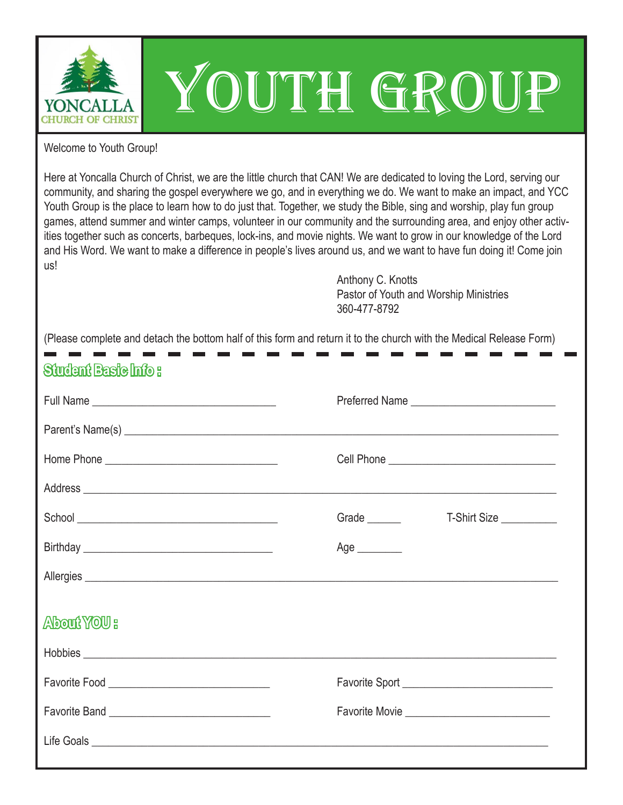

## YOUTH GROUP

Welcome to Youth Group!

Here at Yoncalla Church of Christ, we are the little church that CAN! We are dedicated to loving the Lord, serving our community, and sharing the gospel everywhere we go, and in everything we do. We want to make an impact, and YCC Youth Group is the place to learn how to do just that. Together, we study the Bible, sing and worship, play fun group games, attend summer and winter camps, volunteer in our community and the surrounding area, and enjoy other activities together such as concerts, barbeques, lock-ins, and movie nights. We want to grow in our knowledge of the Lord and His Word. We want to make a difference in people's lives around us, and we want to have fun doing it! Come join us!

> Anthony C. Knotts Pastor of Youth and Worship Ministries 360-477-8792

(Please complete and detach the bottom half of this form and return it to the church with the Medical Release Form)

### **Student Basic Info :**

|                                                                                                                                                                                                                                                                                                                                                                                                     | Preferred Name                                |              |
|-----------------------------------------------------------------------------------------------------------------------------------------------------------------------------------------------------------------------------------------------------------------------------------------------------------------------------------------------------------------------------------------------------|-----------------------------------------------|--------------|
| Parent's Name(s) <u>example and the set of the set of the set of the set of the set of the set of the set of the set of the set of the set of the set of the set of the set of the set of the set of the set of the set of the s</u>                                                                                                                                                                |                                               |              |
|                                                                                                                                                                                                                                                                                                                                                                                                     | Cell Phone __________________________________ |              |
| Address experience and the contract of the contract of the contract of the contract of the contract of the contract of the contract of the contract of the contract of the contract of the contract of the contract of the con                                                                                                                                                                      |                                               |              |
| $\begin{tabular}{c} School \hspace{0.03cm} \hspace{0.03cm} \textbf{1} & \hspace{0.03cm} \textbf{1} & \hspace{0.03cm} \textbf{1} & \hspace{0.03cm} \textbf{1} & \hspace{0.03cm} \textbf{1} & \hspace{0.03cm} \textbf{1} & \hspace{0.03cm} \textbf{1} & \hspace{0.03cm} \textbf{1} & \hspace{0.03cm} \textbf{1} & \hspace{0.03cm} \textbf{1} & \hspace{0.03cm} \textbf{1} & \hspace{0.03cm} \textbf{$ | Grade _______                                 | T-Shirt Size |
|                                                                                                                                                                                                                                                                                                                                                                                                     | Age $\_\_$                                    |              |
|                                                                                                                                                                                                                                                                                                                                                                                                     |                                               |              |
| About YOU :                                                                                                                                                                                                                                                                                                                                                                                         |                                               |              |
| Hobbies <b>Example 2018</b> For the contract of the contract of the contract of the contract of the contract of the contract of the contract of the contract of the contract of the contract of the contract of the contract of the                                                                                                                                                                 |                                               |              |
|                                                                                                                                                                                                                                                                                                                                                                                                     | Favorite Sport                                |              |
|                                                                                                                                                                                                                                                                                                                                                                                                     |                                               |              |
|                                                                                                                                                                                                                                                                                                                                                                                                     |                                               |              |
|                                                                                                                                                                                                                                                                                                                                                                                                     |                                               |              |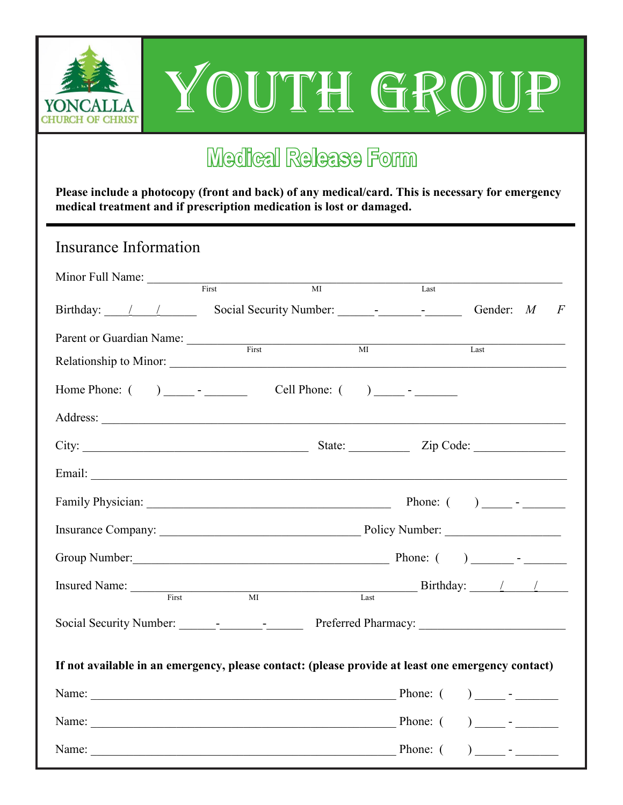

# YOUTH GROUP

## **Medical Release Form** Minor Medical Release Format and the Second Street Second Street Second Street Second Street Second Street Second Street Second Street Second Street Second Street Second Street Second Street Second Street Second Street Sec

**Please include a photocopy (front and back) of any medical/card. This is necessary for emergency medical treatment and if prescription medication is lost or damaged.** 

| Insurance Information                                                                             |                |                 |          |                  |                |
|---------------------------------------------------------------------------------------------------|----------------|-----------------|----------|------------------|----------------|
| Minor Full Name: First                                                                            | $\overline{M}$ |                 | Last     |                  |                |
| Birthday: 1 1 Social Security Number: 1 - 1                                                       |                |                 |          | Gender: $M$      | $\overline{F}$ |
| Parent or Guardian Name:                                                                          | First          | $\overline{MI}$ |          | Last             |                |
|                                                                                                   |                |                 |          |                  |                |
|                                                                                                   |                |                 |          |                  |                |
|                                                                                                   |                |                 |          |                  |                |
|                                                                                                   |                |                 |          |                  |                |
|                                                                                                   |                |                 |          |                  |                |
|                                                                                                   |                |                 |          |                  |                |
|                                                                                                   |                |                 |          |                  |                |
|                                                                                                   |                |                 |          |                  |                |
| First                                                                                             | $\overline{M}$ | Last            |          |                  |                |
|                                                                                                   |                |                 |          |                  |                |
| If not available in an emergency, please contact: (please provide at least one emergency contact) |                |                 |          |                  |                |
|                                                                                                   |                |                 |          |                  |                |
| Name: Phone: (                                                                                    |                |                 |          | ) _____ - ______ |                |
| Name:<br><u> 1989 - Johann John Stein, mars an deus Amerikaansk kommunister (* 1958)</u>          |                |                 | Phone: ( |                  |                |